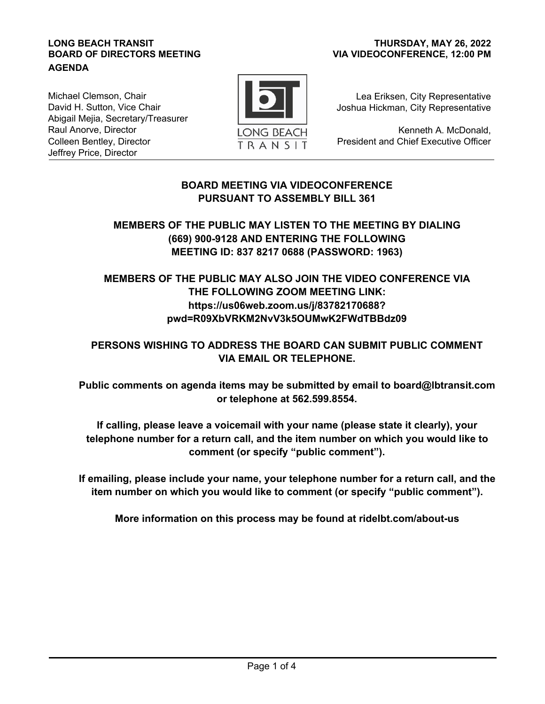#### **LONG BEACH TRANSIT BOARD OF DIRECTORS MEETING AGENDA**

### **VIA VIDEOCONFERENCE, 12:00 PM THURSDAY, MAY 26, 2022**

Michael Clemson, Chair David H. Sutton, Vice Chair Abigail Mejia, Secretary/Treasurer Raul Anorve, Director Colleen Bentley, Director Jeffrey Price, Director



Lea Eriksen, City Representative Joshua Hickman, City Representative

Kenneth A. McDonald, President and Chief Executive Officer

# **BOARD MEETING VIA VIDEOCONFERENCE PURSUANT TO ASSEMBLY BILL 361**

# **MEMBERS OF THE PUBLIC MAY LISTEN TO THE MEETING BY DIALING (669) 900-9128 AND ENTERING THE FOLLOWING MEETING ID: 837 8217 0688 (PASSWORD: 1963)**

# **MEMBERS OF THE PUBLIC MAY ALSO JOIN THE VIDEO CONFERENCE VIA THE FOLLOWING ZOOM MEETING LINK: https://us06web.zoom.us/j/83782170688? pwd=R09XbVRKM2NvV3k5OUMwK2FWdTBBdz09**

# **PERSONS WISHING TO ADDRESS THE BOARD CAN SUBMIT PUBLIC COMMENT VIA EMAIL OR TELEPHONE.**

**Public comments on agenda items may be submitted by email to board@lbtransit.com or telephone at 562.599.8554.** 

**If calling, please leave a voicemail with your name (please state it clearly), your telephone number for a return call, and the item number on which you would like to comment (or specify "public comment").**

**If emailing, please include your name, your telephone number for a return call, and the item number on which you would like to comment (or specify "public comment").**

**More information on this process may be found at ridelbt.com/about-us**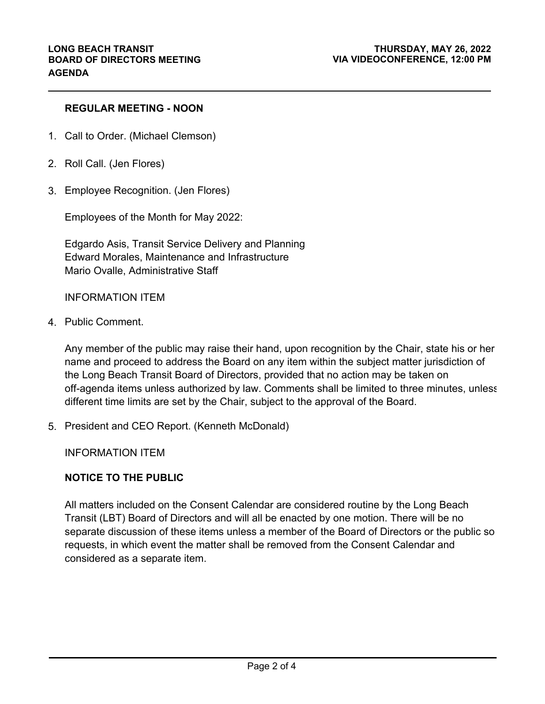## **REGULAR MEETING - NOON**

- 1. Call to Order. (Michael Clemson)
- 2. Roll Call. (Jen Flores)
- 3. Employee Recognition. (Jen Flores)

Employees of the Month for May 2022:

Edgardo Asis, Transit Service Delivery and Planning Edward Morales, Maintenance and Infrastructure Mario Ovalle, Administrative Staff

### INFORMATION ITEM

4. Public Comment.

Any member of the public may raise their hand, upon recognition by the Chair, state his or her name and proceed to address the Board on any item within the subject matter jurisdiction of the Long Beach Transit Board of Directors, provided that no action may be taken on off-agenda items unless authorized by law. Comments shall be limited to three minutes, unless different time limits are set by the Chair, subject to the approval of the Board.

5. President and CEO Report. (Kenneth McDonald)

INFORMATION ITEM

### **NOTICE TO THE PUBLIC**

All matters included on the Consent Calendar are considered routine by the Long Beach Transit (LBT) Board of Directors and will all be enacted by one motion. There will be no separate discussion of these items unless a member of the Board of Directors or the public so requests, in which event the matter shall be removed from the Consent Calendar and considered as a separate item.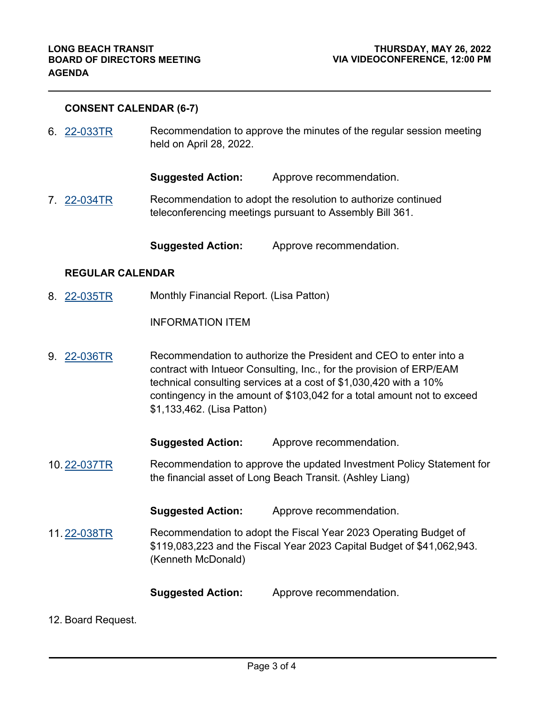### **CONSENT CALENDAR (6-7)**

Recommendation to approve the minutes of the regular session meeting held on April 28, 2022. 6. [22-033TR](http://longbeach.legistar.com/gateway.aspx?M=L&ID=239718)

**Suggested Action:** Approve recommendation.

Recommendation to adopt the resolution to authorize continued teleconferencing meetings pursuant to Assembly Bill 361. 7. [22-034TR](http://longbeach.legistar.com/gateway.aspx?M=L&ID=239719)

**Suggested Action:** Approve recommendation.

#### **REGULAR CALENDAR**

Monthly Financial Report. (Lisa Patton) 8. [22-035TR](http://longbeach.legistar.com/gateway.aspx?M=L&ID=239720)

INFORMATION ITEM

Recommendation to authorize the President and CEO to enter into a contract with Intueor Consulting, Inc., for the provision of ERP/EAM technical consulting services at a cost of \$1,030,420 with a 10% contingency in the amount of \$103,042 for a total amount not to exceed \$1,133,462. (Lisa Patton) 9. [22-036TR](http://longbeach.legistar.com/gateway.aspx?M=L&ID=239721)

**Suggested Action:** Approve recommendation.

Recommendation to approve the updated Investment Policy Statement for the financial asset of Long Beach Transit. (Ashley Liang) 10. [22-037TR](http://longbeach.legistar.com/gateway.aspx?M=L&ID=239722)

**Suggested Action:** Approve recommendation.

Recommendation to adopt the Fiscal Year 2023 Operating Budget of \$119,083,223 and the Fiscal Year 2023 Capital Budget of \$41,062,943. (Kenneth McDonald) 11. [22-038TR](http://longbeach.legistar.com/gateway.aspx?M=L&ID=239723)

**Suggested Action:** Approve recommendation.

#### 12. Board Request.